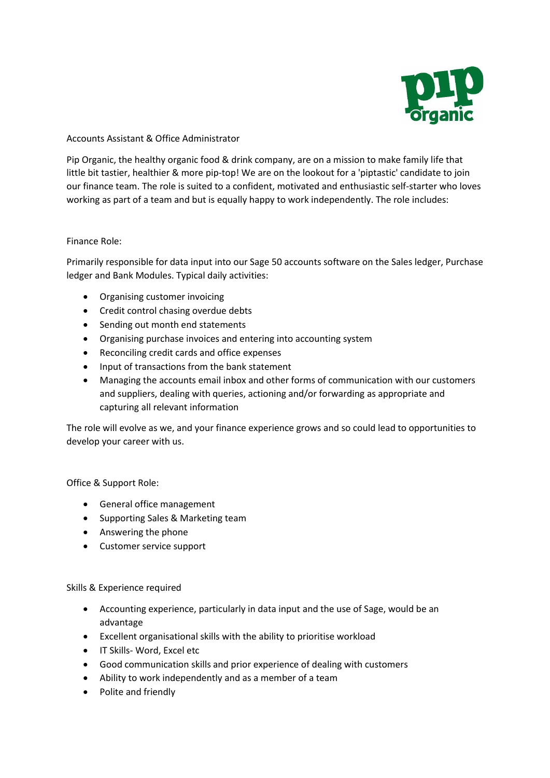

Accounts Assistant & Office Administrator

Pip Organic, the healthy organic food & drink company, are on a mission to make family life that little bit tastier, healthier & more pip-top! We are on the lookout for a 'piptastic' candidate to join our finance team. The role is suited to a confident, motivated and enthusiastic self-starter who loves working as part of a team and but is equally happy to work independently. The role includes:

## Finance Role:

Primarily responsible for data input into our Sage 50 accounts software on the Sales ledger, Purchase ledger and Bank Modules. Typical daily activities:

- Organising customer invoicing
- Credit control chasing overdue debts
- Sending out month end statements
- Organising purchase invoices and entering into accounting system
- Reconciling credit cards and office expenses
- Input of transactions from the bank statement
- Managing the accounts email inbox and other forms of communication with our customers and suppliers, dealing with queries, actioning and/or forwarding as appropriate and capturing all relevant information

The role will evolve as we, and your finance experience grows and so could lead to opportunities to develop your career with us.

Office & Support Role:

- General office management
- Supporting Sales & Marketing team
- Answering the phone
- Customer service support

Skills & Experience required

- Accounting experience, particularly in data input and the use of Sage, would be an advantage
- Excellent organisational skills with the ability to prioritise workload
- IT Skills- Word, Excel etc
- Good communication skills and prior experience of dealing with customers
- Ability to work independently and as a member of a team
- Polite and friendly